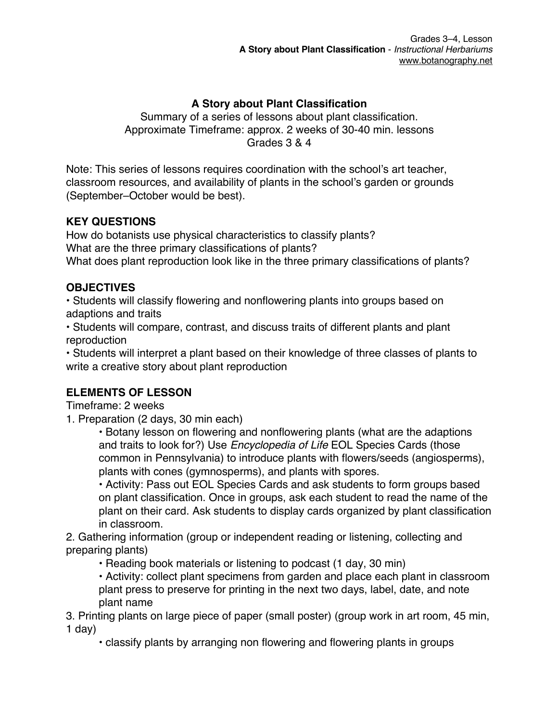## **A Story about Plant Classification**

Summary of a series of lessons about plant classification. Approximate Timeframe: approx. 2 weeks of 30-40 min. lessons Grades 3 & 4

Note: This series of lessons requires coordination with the school's art teacher, classroom resources, and availability of plants in the school's garden or grounds (September–October would be best).

#### **KEY QUESTIONS**

How do botanists use physical characteristics to classify plants? What are the three primary classifications of plants? What does plant reproduction look like in the three primary classifications of plants?

### **OBJECTIVES**

• Students will classify flowering and nonflowering plants into groups based on adaptions and traits

• Students will compare, contrast, and discuss traits of different plants and plant reproduction

• Students will interpret a plant based on their knowledge of three classes of plants to write a creative story about plant reproduction

### **ELEMENTS OF LESSON**

Timeframe: 2 weeks

1. Preparation (2 days, 30 min each)

• Botany lesson on flowering and nonflowering plants (what are the adaptions and traits to look for?) Use *Encyclopedia of Life* EOL Species Cards (those common in Pennsylvania) to introduce plants with flowers/seeds (angiosperms), plants with cones (gymnosperms), and plants with spores.

• Activity: Pass out EOL Species Cards and ask students to form groups based on plant classification. Once in groups, ask each student to read the name of the plant on their card. Ask students to display cards organized by plant classification in classroom.

2. Gathering information (group or independent reading or listening, collecting and preparing plants)

• Reading book materials or listening to podcast (1 day, 30 min)

• Activity: collect plant specimens from garden and place each plant in classroom plant press to preserve for printing in the next two days, label, date, and note plant name

3. Printing plants on large piece of paper (small poster) (group work in art room, 45 min, 1 day $)$ 

• classify plants by arranging non flowering and flowering plants in groups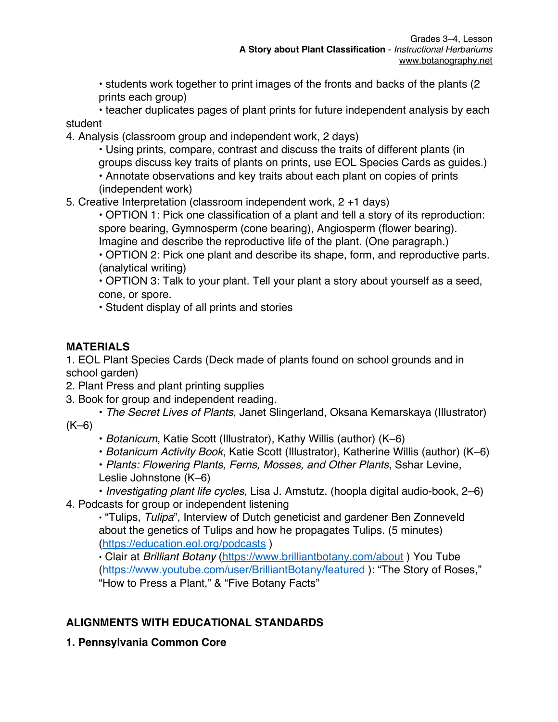• students work together to print images of the fronts and backs of the plants (2 prints each group)

• teacher duplicates pages of plant prints for future independent analysis by each student

4. Analysis (classroom group and independent work, 2 days)

• Using prints, compare, contrast and discuss the traits of different plants (in groups discuss key traits of plants on prints, use EOL Species Cards as guides.) • Annotate observations and key traits about each plant on copies of prints

(independent work)

5. Creative Interpretation (classroom independent work, 2 +1 days)

• OPTION 1: Pick one classification of a plant and tell a story of its reproduction: spore bearing, Gymnosperm (cone bearing), Angiosperm (flower bearing).

Imagine and describe the reproductive life of the plant. (One paragraph.)

• OPTION 2: Pick one plant and describe its shape, form, and reproductive parts. (analytical writing)

• OPTION 3: Talk to your plant. Tell your plant a story about yourself as a seed, cone, or spore.

• Student display of all prints and stories

### **MATERIALS**

1. EOL Plant Species Cards (Deck made of plants found on school grounds and in school garden)

- 2. Plant Press and plant printing supplies
- 3. Book for group and independent reading.

**•** *The Secret Lives of Plants*, Janet Slingerland, Oksana Kemarskaya (Illustrator)  $(K-6)$ 

**•** *Botanicum*, Katie Scott (Illustrator), Kathy Willis (author) (K–6)

**•** *Botanicum Activity Book*, Katie Scott (Illustrator), Katherine Willis (author) (K–6)

**•** *Plants: Flowering Plants, Ferns, Mosses, and Other Plants*, Sshar Levine,

Leslie Johnstone (K–6)

**•** *Investigating plant life cycles*, Lisa J. Amstutz. (hoopla digital audio-book, 2–6) 4. Podcasts for group or independent listening

**•** "Tulips, *Tulipa*", Interview of Dutch geneticist and gardener Ben Zonneveld about the genetics of Tulips and how he propagates Tulips. (5 minutes) (https://education.eol.org/podcasts )

**•** Clair at *Brilliant Botany* (https://www.brilliantbotany.com/about ) You Tube (https://www.youtube.com/user/BrilliantBotany/featured ): "The Story of Roses," "How to Press a Plant," & "Five Botany Facts"

# **ALIGNMENTS WITH EDUCATIONAL STANDARDS**

**1. Pennsylvania Common Core**